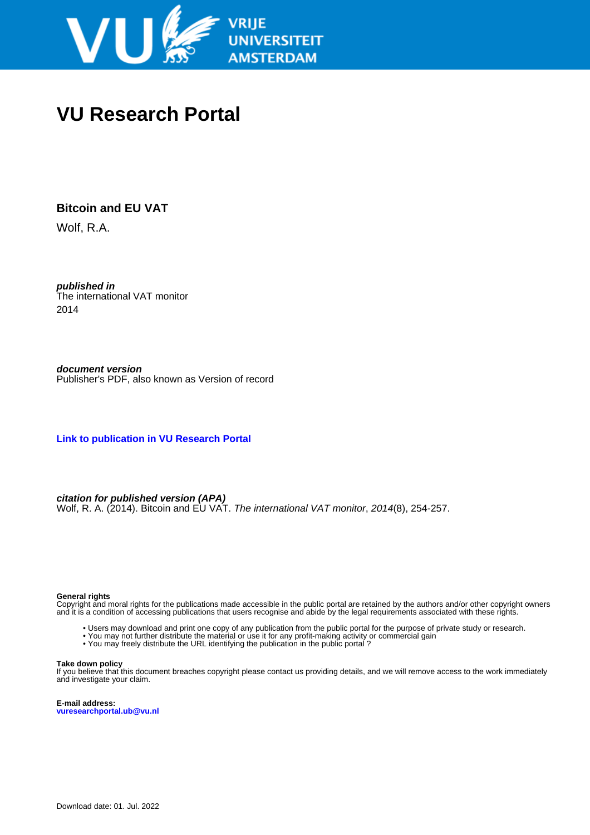

# **VU Research Portal**

# **Bitcoin and EU VAT**

Wolf, R.A.

**published in** The international VAT monitor 2014

**document version** Publisher's PDF, also known as Version of record

**[Link to publication in VU Research Portal](https://research.vu.nl/en/publications/43e7a646-9678-47a8-be6b-e39055c55c6a)**

**citation for published version (APA)** Wolf, R. A. (2014). Bitcoin and EU VAT. The international VAT monitor, 2014(8), 254-257.

#### **General rights**

Copyright and moral rights for the publications made accessible in the public portal are retained by the authors and/or other copyright owners and it is a condition of accessing publications that users recognise and abide by the legal requirements associated with these rights.

- Users may download and print one copy of any publication from the public portal for the purpose of private study or research.
- You may not further distribute the material or use it for any profit-making activity or commercial gain
- You may freely distribute the URL identifying the publication in the public portal ?

#### **Take down policy**

If you believe that this document breaches copyright please contact us providing details, and we will remove access to the work immediately and investigate your claim.

**E-mail address: vuresearchportal.ub@vu.nl**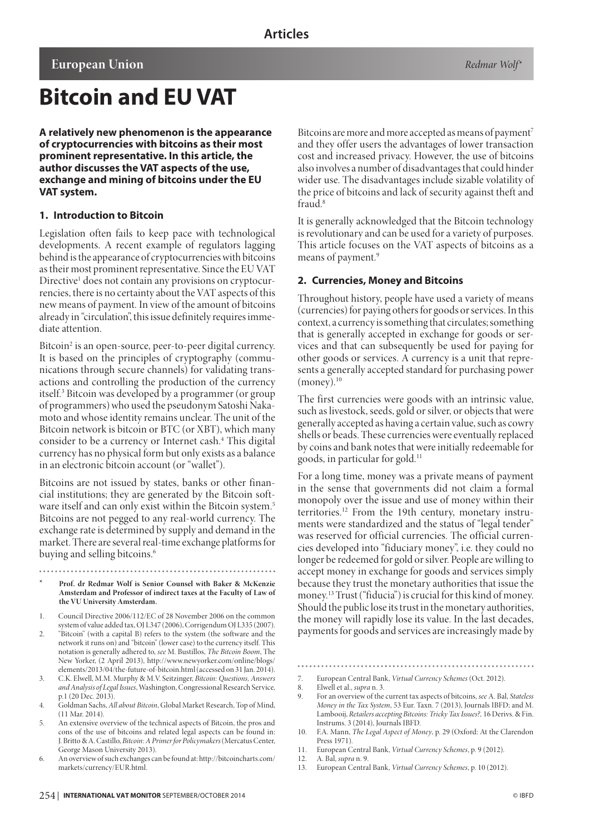# **Bitcoin and EU VAT**

**A relatively new phenomenon is the appearance of cryptocurrencies with bitcoins as their most prominent representative. In this article, the author discusses the VAT aspects of the use, exchange and mining of bitcoins under the EU VAT system.** 

### **1. Introduction to Bitcoin**

Legislation often fails to keep pace with technological developments. A recent example of regulators lagging behind is the appearance of cryptocurrencies with bitcoins as their most prominent representative. Since the EU VAT Directive<sup>1</sup> does not contain any provisions on cryptocurrencies, there is no certainty about the VAT aspects of this new means of payment. In view of the amount of bitcoins already in "circulation", this issue definitely requires immediate attention.

Bitcoin<sup>2</sup> is an open-source, peer-to-peer digital currency. It is based on the principles of cryptography (communications through secure channels) for validating transactions and controlling the production of the currency itself.3 Bitcoin was developed by a programmer (or group of programmers) who used the pseudonym Satoshi Nakamoto and whose identity remains unclear. The unit of the Bitcoin network is bitcoin or BTC (or XBT), which many consider to be a currency or Internet cash.4 This digital currency has no physical form but only exists as a balance in an electronic bitcoin account (or "wallet").

Bitcoins are not issued by states, banks or other financial institutions; they are generated by the Bitcoin software itself and can only exist within the Bitcoin system.<sup>5</sup> Bitcoins are not pegged to any real-world currency. The exchange rate is determined by supply and demand in the market. There are several real-time exchange platforms for buying and selling bitcoins.<sup>6</sup>

- **\* Prof. dr Redmar Wolf is Senior Counsel with Baker & McKenzie Amsterdam and Professor of indirect taxes at the Faculty of Law of the VU University Amsterdam.**
- 1. Council Directive 2006/112/EC of 28 November 2006 on the common system of value added tax, OJ L347 (2006), Corrigendum OJ L335 (2007).
- 2. "Bitcoin" (with a capital B) refers to the system (the software and the network it runs on) and "bitcoin" (lower case) to the currency itself. This notation is generally adhered to, *see* M. Bustillos, *The Bitcoin Boom*, The New Yorker, (2 April 2013), http://www.newyorker.com/online/blogs/ elements/2013/04/the-future-of-bitcoin.html (accessed on 31 Jan. 2014).
- 3. C.K. Elwell, M.M. Murphy & M.V. Seitzinger, *Bitcoin: Questions, Answers and Analysis of Legal Issues*, Washington, Congressional Research Service, p.1 (20 Dec. 2013).
- 4. Goldman Sachs, *All about Bitcoin*, Global Market Research, Top of Mind, (11 Mar. 2014).
- 5. An extensive overview of the technical aspects of Bitcoin, the pros and cons of the use of bitcoins and related legal aspects can be found in: J. Britto & A. Castillo, *Bitcoin: A Primer for Policymakers* (Mercatus Center, George Mason University 2013).
- 6. An overview of such exchanges can be found at: http://bitcoincharts.com/ markets/currency/EUR.html.

Bitcoins are more and more accepted as means of payment<sup>7</sup> and they offer users the advantages of lower transaction cost and increased privacy. However, the use of bitcoins also involves a number of disadvantages that could hinder wider use. The disadvantages include sizable volatility of the price of bitcoins and lack of security against theft and fraud<sup>8</sup>

It is generally acknowledged that the Bitcoin technology is revolutionary and can be used for a variety of purposes. This article focuses on the VAT aspects of bitcoins as a means of payment.<sup>9</sup>

#### **2. Currencies, Money and Bitcoins**

Throughout history, people have used a variety of means (currencies) for paying others for goods or services. In this context, a currency is something that circulates; something that is generally accepted in exchange for goods or services and that can subsequently be used for paying for other goods or services. A currency is a unit that represents a generally accepted standard for purchasing power  $(money).$ <sup>10</sup>

The first currencies were goods with an intrinsic value, such as livestock, seeds, gold or silver, or objects that were generally accepted as having a certain value, such as cowry shells or beads. These currencies were eventually replaced by coins and bank notes that were initially redeemable for goods, in particular for gold.11

For a long time, money was a private means of payment in the sense that governments did not claim a formal monopoly over the issue and use of money within their territories.12 From the 19th century, monetary instruments were standardized and the status of "legal tender" was reserved for official currencies. The official currencies developed into "fiduciary money", i.e. they could no longer be redeemed for gold or silver. People are willing to accept money in exchange for goods and services simply because they trust the monetary authorities that issue the money.<sup>13</sup> Trust ("fiducia") is crucial for this kind of money. Should the public lose its trust in the monetary authorities, the money will rapidly lose its value. In the last decades, payments for goods and services are increasingly made by

11. European Central Bank, *Virtual Currency Schemes*, p. 9 (2012).

12. A. Bal, *supra* n. 9.

<sup>7.</sup> European Central Bank, *Virtual Currency Schemes* (Oct. 2012).

<sup>8.</sup> Elwell et al., *supra* n. 3.

<sup>9.</sup> For an overview of the current tax aspects of bitcoins, *see* A. Bal, *Stateless Money in the Tax System*, 53 Eur. Taxn. 7 (2013), Journals IBFD; and M. Lambooij, *Retailers accepting Bitcoins: Tricky Tax Issues?,* 16 Derivs. & Fin. Instrums. 3 (2014), Journals IBFD.

<sup>10.</sup> F.A. Mann, *The Legal Aspect of Money*, p. 29 (Oxford: At the Clarendon Press 1971).

<sup>13.</sup> European Central Bank, *Virtual Currency Schemes*, p. 10 (2012).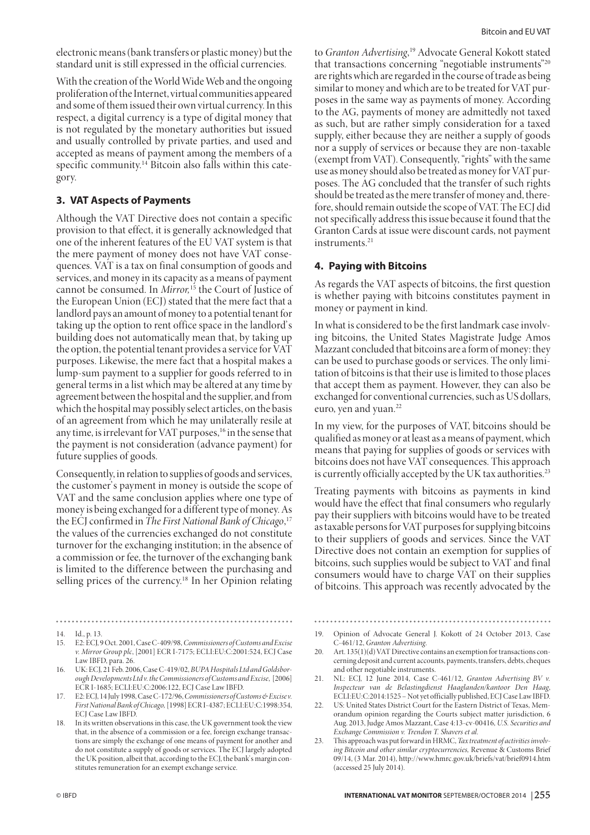electronic means (bank transfers or plastic money) but the standard unit is still expressed in the official currencies.

With the creation of the World Wide Web and the ongoing proliferation of the Internet, virtual communities appeared and some of them issued their own virtual currency. In this respect, a digital currency is a type of digital money that is not regulated by the monetary authorities but issued and usually controlled by private parties, and used and accepted as means of payment among the members of a specific community.14 Bitcoin also falls within this category.

# **3. VAT Aspects of Payments**

Although the VAT Directive does not contain a specific provision to that effect, it is generally acknowledged that one of the inherent features of the EU VAT system is that the mere payment of money does not have VAT consequences. VAT is a tax on final consumption of goods and services, and money in its capacity as a means of payment cannot be consumed. In *Mirror,*15 the Court of Justice of the European Union (ECJ) stated that the mere fact that a landlord pays an amount of money to a potential tenant for taking up the option to rent office space in the landlord's building does not automatically mean that, by taking up the option, the potential tenant provides a service for VAT purposes. Likewise, the mere fact that a hospital makes a lump-sum payment to a supplier for goods referred to in general terms in a list which may be altered at any time by agreement between the hospital and the supplier, and from which the hospital may possibly select articles, on the basis of an agreement from which he may unilaterally resile at any time, is irrelevant for VAT purposes,<sup>16</sup> in the sense that the payment is not consideration (advance payment) for future supplies of goods.

Consequently, in relation to supplies of goods and services, the customer's payment in money is outside the scope of VAT and the same conclusion applies where one type of money is being exchanged for a different type of money. As the ECJ confirmed in *The First National Bank of Chicago*, 17 the values of the currencies exchanged do not constitute turnover for the exchanging institution; in the absence of a commission or fee, the turnover of the exchanging bank is limited to the difference between the purchasing and selling prices of the currency.18 In her Opinion relating

to *Granton Advertising*, 19 Advocate General Kokott stated that transactions concerning "negotiable instruments"20 are rights which are regarded in the course of trade as being similar to money and which are to be treated for VAT purposes in the same way as payments of money. According to the AG, payments of money are admittedly not taxed as such, but are rather simply consideration for a taxed supply, either because they are neither a supply of goods nor a supply of services or because they are non-taxable (exempt from VAT). Consequently, "rights" with the same use as money should also be treated as money for VAT purposes. The AG concluded that the transfer of such rights should be treated as the mere transfer of money and, therefore, should remain outside the scope of VAT. The ECJ did not specifically address this issue because it found that the Granton Cards at issue were discount cards, not payment instruments.<sup>21</sup>

### **4. Paying with Bitcoins**

As regards the VAT aspects of bitcoins, the first question is whether paying with bitcoins constitutes payment in money or payment in kind.

In what is considered to be the first landmark case involving bitcoins, the United States Magistrate Judge Amos Mazzant concluded that bitcoins are a form of money: they can be used to purchase goods or services. The only limitation of bitcoins is that their use is limited to those places that accept them as payment. However, they can also be exchanged for conventional currencies, such as US dollars, euro, yen and yuan.<sup>22</sup>

In my view, for the purposes of VAT, bitcoins should be qualified as money or at least as a means of payment, which means that paying for supplies of goods or services with bitcoins does not have VAT consequences. This approach is currently officially accepted by the UK tax authorities.<sup>23</sup>

Treating payments with bitcoins as payments in kind would have the effect that final consumers who regularly pay their suppliers with bitcoins would have to be treated as taxable persons for VAT purposes for supplying bitcoins to their suppliers of goods and services. Since the VAT Directive does not contain an exemption for supplies of bitcoins, such supplies would be subject to VAT and final consumers would have to charge VAT on their supplies of bitcoins. This approach was recently advocated by the

- 19. Opinion of Advocate General J. Kokott of 24 October 2013, Case C-461/12, *Granton Advertising*.
- 20. Art. 135(1)(d) VAT Directive contains an exemption for transactions concerning deposit and current accounts, payments, transfers, debts, cheques and other negotiable instruments.
- 21. NL: ECJ, 12 June 2014, Case C-461/12, *Granton Advertising BV v. Inspecteur van de Belastingdienst Haaglanden/kantoor Den Haag*, ECLI:EU:C:2014:1525 – Not yet officially published, ECJ Case Law IBFD.
- 22. US: United States District Court for the Eastern District of Texas, Memorandum opinion regarding the Courts subject matter jurisdiction, 6 Aug. 2013, Judge Amos Mazzant, Case 4:13-cv-00416, *U.S. Securities and Exchange Commission v. Trendon T. Shavers et al.*
- 23. This approach was put forward in HRMC, *Tax treatment of activities involving Bitcoin and other similar cryptocurrencies,* Revenue & Customs Brief 09/14, (3 Mar. 2014), http://www.hmrc.gov.uk/briefs/vat/brief0914.htm (accessed 25 July 2014).

<sup>14.</sup> Id., p. 13.

<sup>15.</sup> E2: ECJ, 9 Oct. 2001, Case C-409/98, *Commissioners of Customs and Excise v. Mirror Group plc*, [2001] ECR I-7175; ECLI:EU:C:2001:524, ECJ Case Law IBFD, para. 26.

<sup>16.</sup> UK: ECJ, 21 Feb. 2006, Case C-419/02, *BUPA Hospitals Ltd and Goldsborough Developments Ltd v. the Commissioners of Customs and Excise*, [2006] ECR I-1685; ECLI:EU:C:2006:122, ECJ Case Law IBFD.

<sup>17.</sup> E2: ECJ, 14 July 1998, Case C-172/96, *Commissioners of Customs & Excise v. First National Bank of Chicago,* [1998] ECR I-4387; ECLI:EU:C:1998:354, ECJ Case Law IBFD.

<sup>18.</sup> In its written observations in this case, the UK government took the view that, in the absence of a commission or a fee, foreign exchange transactions are simply the exchange of one means of payment for another and do not constitute a supply of goods or services. The ECJ largely adopted the UK position, albeit that, according to the ECJ, the bank's margin constitutes remuneration for an exempt exchange service.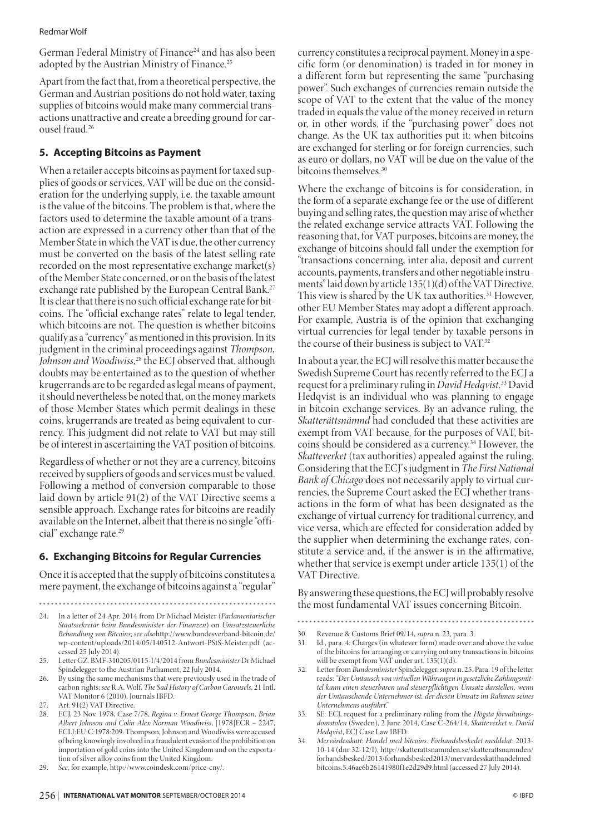#### Redmar Wolf

German Federal Ministry of Finance<sup>24</sup> and has also been adopted by the Austrian Ministry of Finance.<sup>25</sup>

Apart from the fact that, from a theoretical perspective, the German and Austrian positions do not hold water, taxing supplies of bitcoins would make many commercial transactions unattractive and create a breeding ground for carousel fraud.26

## **5. Accepting Bitcoins as Payment**

When a retailer accepts bitcoins as payment for taxed supplies of goods or services, VAT will be due on the consideration for the underlying supply, i.e. the taxable amount is the value of the bitcoins. The problem is that, where the factors used to determine the taxable amount of a transaction are expressed in a currency other than that of the Member State in which the VAT is due, the other currency must be converted on the basis of the latest selling rate recorded on the most representative exchange market(s) of the Member State concerned, or on the basis of the latest exchange rate published by the European Central Bank.<sup>27</sup> It is clear that there is no such official exchange rate for bitcoins. The "official exchange rates" relate to legal tender, which bitcoins are not. The question is whether bitcoins qualify as a "currency" as mentioned in this provision. In its judgment in the criminal proceedings against *Thompson, Johnson and Woodiwiss*, 28 the ECJ observed that, although doubts may be entertained as to the question of whether krugerrands are to be regarded as legal means of payment, it should nevertheless be noted that, on the money markets of those Member States which permit dealings in these coins, krugerrands are treated as being equivalent to currency. This judgment did not relate to VAT but may still be of interest in ascertaining the VAT position of bitcoins.

Regardless of whether or not they are a currency, bitcoins received by suppliers of goods and services must be valued. Following a method of conversion comparable to those laid down by article 91(2) of the VAT Directive seems a sensible approach. Exchange rates for bitcoins are readily available on the Internet, albeit that there is no single "official" exchange rate.29

## **6. Exchanging Bitcoins for Regular Currencies**

Once it is accepted that the supply of bitcoins constitutes a mere payment, the exchange of bitcoins against a "regular"

- 24. In a letter of 24 Apr. 2014 from Dr Michael Meister (*Parlamentarischer Staatssekretär beim Bundesminister der Finanzen*) on *Umsatzsteuerliche Behandlung von Bitcoins*; *see also*http://www.bundesverband-bitcoin.de/ wp-content/uploads/2014/05/140512-Antwort-PStS-Meister.pdf (accessed 25 July 2014).
- 25. Letter GZ. BMF-310205/0115-I/4/2014 from *Bundesminister* Dr Michael Spindelegger to the Austrian Parliament, 22 July 2014.
- 26. By using the same mechanisms that were previously used in the trade of carbon rights; *see* R.A. Wolf, *The Sad History of Carbon Carousels*, 21 Intl. VAT Monitor 6 (2010), Journals IBFD.
- 27. Art. 91(2) VAT Directive.
- 28. ECJ, 23 Nov. 1978, Case 7/78, *Regina v. Ernest George Thompson, Brian Albert Johnson and Colin Alex Norman Woodiwiss*, [1978]ECR – 2247, ECLI:EU:C:1978:209. Thompson, Johnson and Woodiwiss were accused of being knowingly involved in a fraudulent evasion of the prohibition on importation of gold coins into the United Kingdom and on the exportation of silver alloy coins from the United Kingdom.
- 29. *See*, for example, http://www.coindesk.com/price-cny/.

currency constitutes a reciprocal payment. Money in a specific form (or denomination) is traded in for money in a different form but representing the same "purchasing power". Such exchanges of currencies remain outside the scope of VAT to the extent that the value of the money traded in equals the value of the money received in return or, in other words, if the "purchasing power" does not change. As the UK tax authorities put it: when bitcoins are exchanged for sterling or for foreign currencies, such as euro or dollars, no VAT will be due on the value of the bitcoins themselves.<sup>30</sup>

Where the exchange of bitcoins is for consideration, in the form of a separate exchange fee or the use of different buying and selling rates, the question may arise of whether the related exchange service attracts VAT. Following the reasoning that, for VAT purposes, bitcoins are money, the exchange of bitcoins should fall under the exemption for "transactions concerning, inter alia, deposit and current accounts, payments, transfers and other negotiable instruments" laid down by article 135(1)(d) of the VAT Directive. This view is shared by the UK tax authorities.<sup>31</sup> However, other EU Member States may adopt a different approach. For example, Austria is of the opinion that exchanging virtual currencies for legal tender by taxable persons in the course of their business is subject to VAT.32

In about a year, the ECJ will resolve this matter because the Swedish Supreme Court has recently referred to the ECJ a request for a preliminary ruling in *David Hedqvist*. 33 David Hedqvist is an individual who was planning to engage in bitcoin exchange services. By an advance ruling, the *Skatterättsnämnd* had concluded that these activities are exempt from VAT because, for the purposes of VAT, bitcoins should be considered as a currency.34 However, the *Skatteverket* (tax authorities) appealed against the ruling. Considering that the ECJ's judgment in *The First National Bank of Chicago* does not necessarily apply to virtual currencies, the Supreme Court asked the ECJ whether transactions in the form of what has been designated as the exchange of virtual currency for traditional currency, and vice versa, which are effected for consideration added by the supplier when determining the exchange rates, constitute a service and, if the answer is in the affirmative, whether that service is exempt under article 135(1) of the VAT Directive.

By answering these questions, the ECJ will probably resolve the most fundamental VAT issues concerning Bitcoin.

#### 

- 30. Revenue & Customs Brief 09/14, *supra* n. 23, para. 3.
- 31. Id., para. 4: Charges (in whatever form) made over and above the value of the bitcoins for arranging or carrying out any transactions in bitcoins will be exempt from VAT under art. 135(1)(d).
- 32. Letter from *Bundesminister* Spindelegger, *supra* n. 25. Para. 19 of the letter reads: "*Der Umtausch von virtuellen Währungen in gesetzliche Zahlungsmittel kann einen steuerbaren und steuerpflichtigen Umsatz darstellen, wenn der Umtauschende Unternehmer ist, der diesen Umsatz im Rahmen seines Unternehmens ausführt*."
- 33. SE: ECJ, request for a preliminary ruling from the *Högsta förvaltningsdomstolen* (Sweden), 2 June 2014, Case C-264/14, *Skatteverket v. David Hedqvist*, ECJ Case Law IBFD.
- 34. *Mervärdesskatt*: *Handel med bitcoins. Förhandsbeskedet meddelat*: 2013- 10-14 (dnr 32-12/I), http://skatterattsnamnden.se/skatterattsnamnden/ forhandsbesked/2013/forhandsbesked2013/mervardesskatthandelmed bitcoins.5.46ae6b26141980f1e2d29d9.html (accessed 27 July 2014).